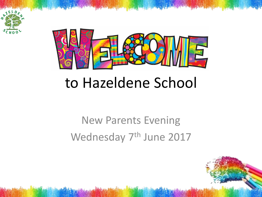



#### to Hazeldene School

#### New Parents Evening Wednesday 7<sup>th</sup> June 2017

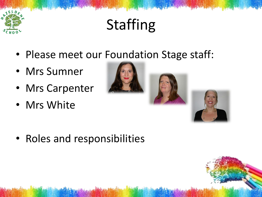

## Staffing

- Please meet our Foundation Stage staff:
- Mrs Sumner
- Mrs Carpenter
- Mrs White





• Roles and responsibilities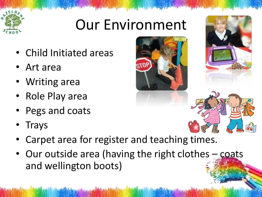#### Our Environment

- Child Initiated areas
- Art area
- Writing area
- Role Play area
- Pegs and coats
- **Trays**
- Carpet area for register and teaching times.
- Our outside area (having the right clothes coats and wellington boots)







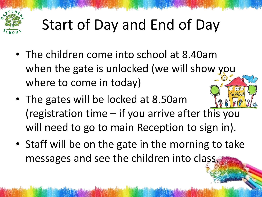

## Start of Day and End of Day

- The children come into school at 8.40am when the gate is unlocked (we will show you where to come in today)
- The gates will be locked at 8.50am (registration time – if you arrive after this you will need to go to main Reception to sign in).
- Staff will be on the gate in the morning to take messages and see the children into class.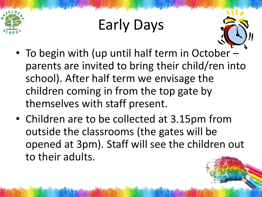

#### Early Days



- To begin with (up until half term in October parents are invited to bring their child/ren into school). After half term we envisage the children coming in from the top gate by themselves with staff present.
- Children are to be collected at 3.15pm from outside the classrooms (the gates will be opened at 3pm). Staff will see the children out to their adults.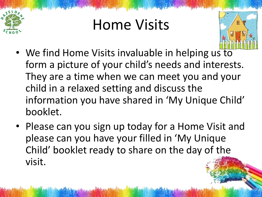

#### Home Visits



- We find Home Visits invaluable in helping us to form a picture of your child's needs and interests. They are a time when we can meet you and your child in a relaxed setting and discuss the information you have shared in 'My Unique Child' booklet.
- Please can you sign up today for a Home Visit and please can you have your filled in 'My Unique Child' booklet ready to share on the day of the visit.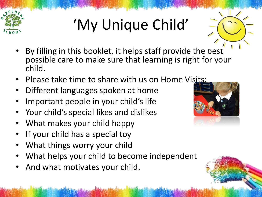

# 'My Unique Child'

- By filling in this booklet, it helps staff provide the best possible care to make sure that learning is right for your child.
- Please take time to share with us on Home Visits:
- Different languages spoken at home
- Important people in your child's life
- Your child's special likes and dislikes
- What makes your child happy
- If your child has a special toy
- What things worry your child
- What helps your child to become independent
- And what motivates your child.

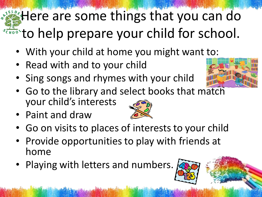#### there are some things that you can do **TERNOTED FIGURE 10 A.M.** The prepare your child for school.

- With your child at home you might want to:
- Read with and to your child
- Sing songs and rhymes with your child



- Go to the library and select books that match your child's interests
- Paint and draw



- Go on visits to places of interests to your child
- Provide opportunities to play with friends at home
- Playing with letters and numbers.

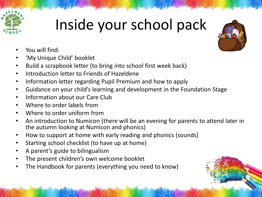

#### Inside your school pack

- You will find:
- 'My Unique Child' booklet
- Build a scrapbook letter (to bring into school first week back)
- Introduction letter to Friends of Hazeldene
- Information letter regarding Pupil Premium and how to apply
- Guidance on your child's learning and development in the Foundation Stage
- Information about our Care Club
- Where to order labels from
- Where to order uniform from
- An introduction to Numicon (there will be an evening for parents to attend later in the autumn looking at Numicon and phonics)
- How to support at home with early reading and phonics (sounds)
- Starting school checklist (to have up at home)
- A parent's guide to bilingualism
- The present children's own welcome booklet
- The Handbook for parents (everything you need to know)

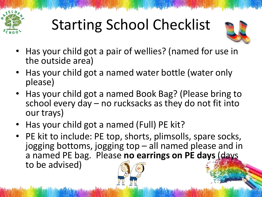

## Starting School Checklist



- Has your child got a pair of wellies? (named for use in the outside area)
- Has your child got a named water bottle (water only please)
- Has your child got a named Book Bag? (Please bring to school every day – no rucksacks as they do not fit into our trays)
- Has your child got a named (Full) PE kit?
- PE kit to include: PE top, shorts, plimsolls, spare socks, jogging bottoms, jogging top – all named please and in a named PE bag. Please **no earrings on PE days** (days to be advised)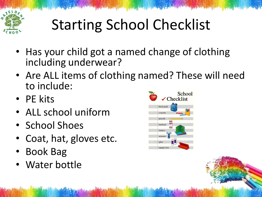

## Starting School Checklist

- Has your child got a named change of clothing including underwear?
- Are ALL items of clothing named? These will need to include:
- PE kits
- ALL school uniform
- School Shoes
- Coat, hat, gloves etc.
- Book Bag
- Water bottle

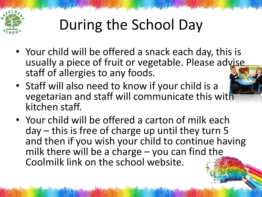

## During the School Day

- Your child will be offered a snack each day, this is usually a piece of fruit or vegetable. Please advise staff of allergies to any foods.
- Staff will also need to know if your child is a vegetarian and staff will communicate this with kitchen staff.
- Your child will be offered a carton of milk each day – this is free of charge up until they turn 5 and then if you wish your child to continue having milk there will be a charge – you can find the Coolmilk link on the school website.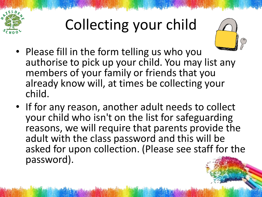

# Collecting your child



- Please fill in the form telling us who you authorise to pick up your child. You may list any members of your family or friends that you already know will, at times be collecting your child.
- If for any reason, another adult needs to collect your child who isn't on the list for safeguarding reasons, we will require that parents provide the adult with the class password and this will be asked for upon collection. (Please see staff for the password).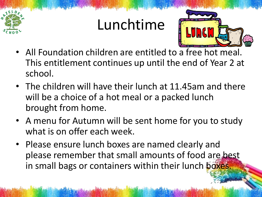#### Lunchtime



- All Foundation children are entitled to a free hot meal. This entitlement continues up until the end of Year 2 at school.
- The children will have their lunch at 11.45am and there will be a choice of a hot meal or a packed lunch brought from home.
- A menu for Autumn will be sent home for you to study what is on offer each week.
- Please ensure lunch boxes are named clearly and please remember that small amounts of food are best in small bags or containers within their lunch boxes.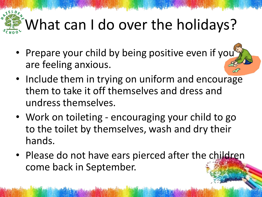## What can I do over the holidays?

- Prepare your child by being positive even if you are feeling anxious.
- Include them in trying on uniform and encourage them to take it off themselves and dress and undress themselves.
- Work on toileting encouraging your child to go to the toilet by themselves, wash and dry their hands.
- Please do not have ears pierced after the children come back in September.